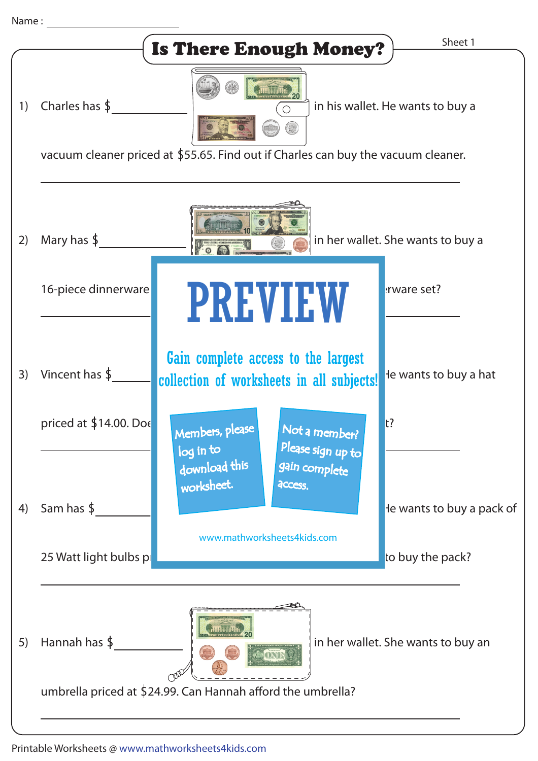